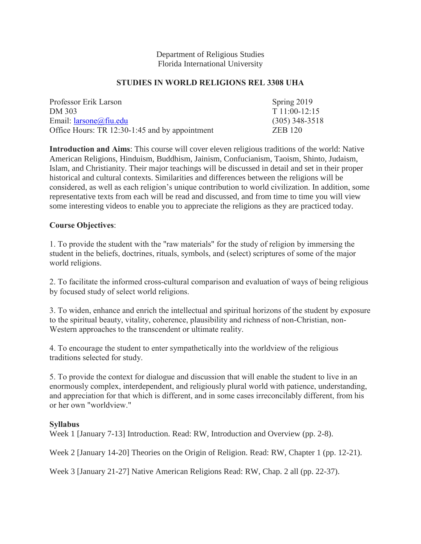#### Department of Religious Studies Florida International University

### **STUDIES IN WORLD RELIGIONS REL 3308 UHA**

| Professor Erik Larson                          | Spring 2019      |
|------------------------------------------------|------------------|
| DM 303                                         | $T11:00-12:15$   |
| Email: $larsone@$ fiu.edu                      | $(305)$ 348-3518 |
| Office Hours: TR 12:30-1:45 and by appointment | <b>ZEB 120</b>   |

**Introduction and Aims**: This course will cover eleven religious traditions of the world: Native American Religions, Hinduism, Buddhism, Jainism, Confucianism, Taoism, Shinto, Judaism, Islam, and Christianity. Their major teachings will be discussed in detail and set in their proper historical and cultural contexts. Similarities and differences between the religions will be considered, as well as each religion's unique contribution to world civilization. In addition, some representative texts from each will be read and discussed, and from time to time you will view some interesting videos to enable you to appreciate the religions as they are practiced today.

# **Course Objectives**:

1. To provide the student with the "raw materials" for the study of religion by immersing the student in the beliefs, doctrines, rituals, symbols, and (select) scriptures of some of the major world religions.

2. To facilitate the informed cross-cultural comparison and evaluation of ways of being religious by focused study of select world religions.

3. To widen, enhance and enrich the intellectual and spiritual horizons of the student by exposure to the spiritual beauty, vitality, coherence, plausibility and richness of non-Christian, non-Western approaches to the transcendent or ultimate reality.

4. To encourage the student to enter sympathetically into the worldview of the religious traditions selected for study.

5. To provide the context for dialogue and discussion that will enable the student to live in an enormously complex, interdependent, and religiously plural world with patience, understanding, and appreciation for that which is different, and in some cases irreconcilably different, from his or her own "worldview."

### **Syllabus**

Week 1 [January 7-13] Introduction. Read: RW, Introduction and Overview (pp. 2-8).

Week 2 [January 14-20] Theories on the Origin of Religion. Read: RW, Chapter 1 (pp. 12-21).

Week 3 [January 21-27] Native American Religions Read: RW, Chap. 2 all (pp. 22-37).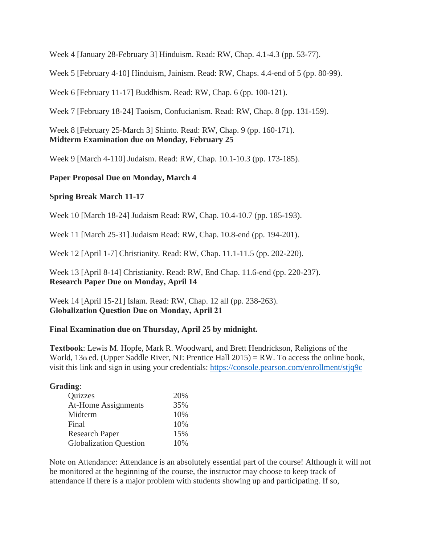Week 4 [January 28-February 3] Hinduism. Read: RW, Chap. 4.1-4.3 (pp. 53-77).

Week 5 [February 4-10] Hinduism, Jainism. Read: RW, Chaps. 4.4-end of 5 (pp. 80-99).

Week 6 [February 11-17] Buddhism. Read: RW, Chap. 6 (pp. 100-121).

Week 7 [February 18-24] Taoism, Confucianism. Read: RW, Chap. 8 (pp. 131-159).

Week 8 [February 25-March 3] Shinto. Read: RW, Chap. 9 (pp. 160-171). **Midterm Examination due on Monday, February 25**

Week 9 [March 4-110] Judaism. Read: RW, Chap. 10.1-10.3 (pp. 173-185).

# **Paper Proposal Due on Monday, March 4**

### **Spring Break March 11-17**

Week 10 [March 18-24] Judaism Read: RW, Chap. 10.4-10.7 (pp. 185-193).

Week 11 [March 25-31] Judaism Read: RW, Chap. 10.8-end (pp. 194-201).

Week 12 [April 1-7] Christianity. Read: RW, Chap. 11.1-11.5 (pp. 202-220).

Week 13 [April 8-14] Christianity. Read: RW, End Chap. 11.6-end (pp. 220-237). **Research Paper Due on Monday, April 14**

Week 14 [April 15-21] Islam. Read: RW, Chap. 12 all (pp. 238-263). **Globalization Question Due on Monday, April 21**

### **Final Examination due on Thursday, April 25 by midnight.**

**Textbook**: Lewis M. Hopfe, Mark R. Woodward, and Brett Hendrickson, Religions of the World,  $13<sub>th</sub>$  ed. (Upper Saddle River, NJ: Prentice Hall 2015) = RW. To access the online book, visit this link and sign in using your credentials:<https://console.pearson.com/enrollment/stjq9c>

### **Grading**:

| Quizzes                       | 20% |
|-------------------------------|-----|
| <b>At-Home Assignments</b>    | 35% |
| Midterm                       | 10% |
| Final                         | 10% |
| <b>Research Paper</b>         | 15% |
| <b>Globalization Question</b> | 10% |

Note on Attendance: Attendance is an absolutely essential part of the course! Although it will not be monitored at the beginning of the course, the instructor may choose to keep track of attendance if there is a major problem with students showing up and participating. If so,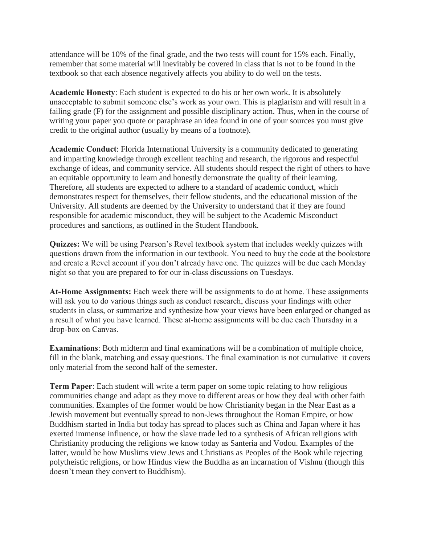attendance will be 10% of the final grade, and the two tests will count for 15% each. Finally, remember that some material will inevitably be covered in class that is not to be found in the textbook so that each absence negatively affects you ability to do well on the tests.

**Academic Honesty**: Each student is expected to do his or her own work. It is absolutely unacceptable to submit someone else's work as your own. This is plagiarism and will result in a failing grade (F) for the assignment and possible disciplinary action. Thus, when in the course of writing your paper you quote or paraphrase an idea found in one of your sources you must give credit to the original author (usually by means of a footnote).

**Academic Conduct**: Florida International University is a community dedicated to generating and imparting knowledge through excellent teaching and research, the rigorous and respectful exchange of ideas, and community service. All students should respect the right of others to have an equitable opportunity to learn and honestly demonstrate the quality of their learning. Therefore, all students are expected to adhere to a standard of academic conduct, which demonstrates respect for themselves, their fellow students, and the educational mission of the University. All students are deemed by the University to understand that if they are found responsible for academic misconduct, they will be subject to the Academic Misconduct procedures and sanctions, as outlined in the Student Handbook.

**Quizzes:** We will be using Pearson's Revel textbook system that includes weekly quizzes with questions drawn from the information in our textbook. You need to buy the code at the bookstore and create a Revel account if you don't already have one. The quizzes will be due each Monday night so that you are prepared to for our in-class discussions on Tuesdays.

**At-Home Assignments:** Each week there will be assignments to do at home. These assignments will ask you to do various things such as conduct research, discuss your findings with other students in class, or summarize and synthesize how your views have been enlarged or changed as a result of what you have learned. These at-home assignments will be due each Thursday in a drop-box on Canvas.

**Examinations**: Both midterm and final examinations will be a combination of multiple choice, fill in the blank, matching and essay questions. The final examination is not cumulative–it covers only material from the second half of the semester.

**Term Paper**: Each student will write a term paper on some topic relating to how religious communities change and adapt as they move to different areas or how they deal with other faith communities. Examples of the former would be how Christianity began in the Near East as a Jewish movement but eventually spread to non-Jews throughout the Roman Empire, or how Buddhism started in India but today has spread to places such as China and Japan where it has exerted immense influence, or how the slave trade led to a synthesis of African religions with Christianity producing the religions we know today as Santeria and Vodou. Examples of the latter, would be how Muslims view Jews and Christians as Peoples of the Book while rejecting polytheistic religions, or how Hindus view the Buddha as an incarnation of Vishnu (though this doesn't mean they convert to Buddhism).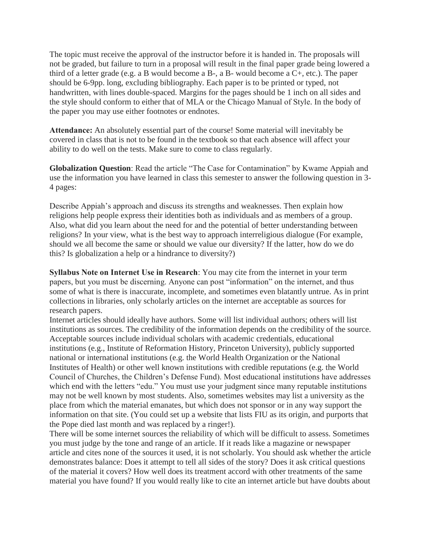The topic must receive the approval of the instructor before it is handed in. The proposals will not be graded, but failure to turn in a proposal will result in the final paper grade being lowered a third of a letter grade (e.g. a B would become a B-, a B- would become a C+, etc.). The paper should be 6-9pp. long, excluding bibliography. Each paper is to be printed or typed, not handwritten, with lines double-spaced. Margins for the pages should be 1 inch on all sides and the style should conform to either that of MLA or the Chicago Manual of Style. In the body of the paper you may use either footnotes or endnotes.

**Attendance:** An absolutely essential part of the course! Some material will inevitably be covered in class that is not to be found in the textbook so that each absence will affect your ability to do well on the tests. Make sure to come to class regularly.

**Globalization Question**: Read the article "The Case for Contamination" by Kwame Appiah and use the information you have learned in class this semester to answer the following question in 3- 4 pages:

Describe Appiah's approach and discuss its strengths and weaknesses. Then explain how religions help people express their identities both as individuals and as members of a group. Also, what did you learn about the need for and the potential of better understanding between religions? In your view, what is the best way to approach interreligious dialogue (For example, should we all become the same or should we value our diversity? If the latter, how do we do this? Is globalization a help or a hindrance to diversity?)

**Syllabus Note on Internet Use in Research**: You may cite from the internet in your term papers, but you must be discerning. Anyone can post "information" on the internet, and thus some of what is there is inaccurate, incomplete, and sometimes even blatantly untrue. As in print collections in libraries, only scholarly articles on the internet are acceptable as sources for research papers.

Internet articles should ideally have authors. Some will list individual authors; others will list institutions as sources. The credibility of the information depends on the credibility of the source. Acceptable sources include individual scholars with academic credentials, educational institutions (e.g., Institute of Reformation History, Princeton University), publicly supported national or international institutions (e.g. the World Health Organization or the National Institutes of Health) or other well known institutions with credible reputations (e.g. the World Council of Churches, the Children's Defense Fund). Most educational institutions have addresses which end with the letters "edu." You must use your judgment since many reputable institutions may not be well known by most students. Also, sometimes websites may list a university as the place from which the material emanates, but which does not sponsor or in any way support the information on that site. (You could set up a website that lists FIU as its origin, and purports that the Pope died last month and was replaced by a ringer!).

There will be some internet sources the reliability of which will be difficult to assess. Sometimes you must judge by the tone and range of an article. If it reads like a magazine or newspaper article and cites none of the sources it used, it is not scholarly. You should ask whether the article demonstrates balance: Does it attempt to tell all sides of the story? Does it ask critical questions of the material it covers? How well does its treatment accord with other treatments of the same material you have found? If you would really like to cite an internet article but have doubts about